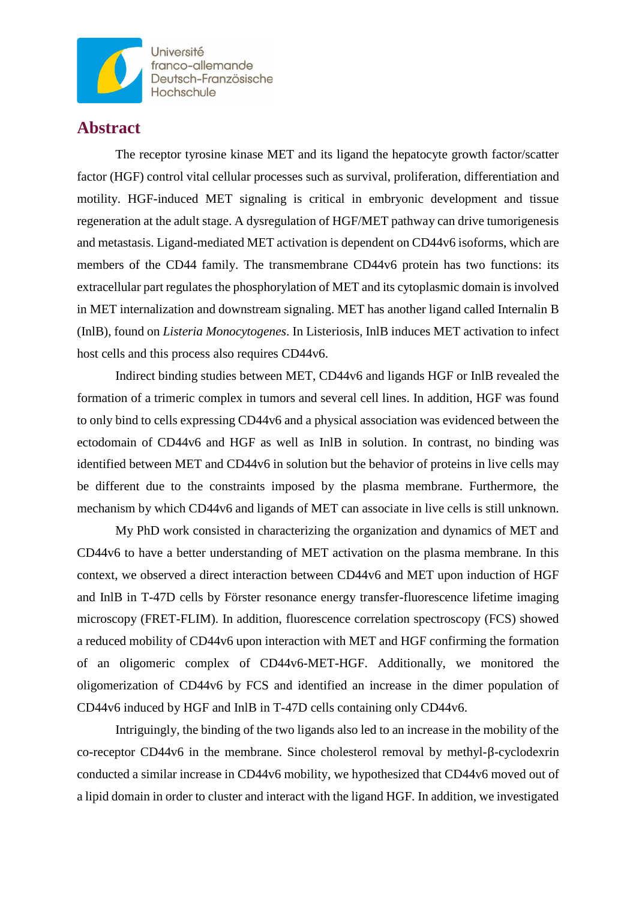

**Université** franco-allemande Deutsch-Französische Hochschule

## **Abstract**

The receptor tyrosine kinase MET and its ligand the hepatocyte growth factor/scatter factor (HGF) control vital cellular processes such as survival, proliferation, differentiation and motility. HGF-induced MET signaling is critical in embryonic development and tissue regeneration at the adult stage. A dysregulation of HGF/MET pathway can drive tumorigenesis and metastasis. Ligand-mediated MET activation is dependent on CD44v6 isoforms, which are members of the CD44 family. The transmembrane CD44v6 protein has two functions: its extracellular part regulates the phosphorylation of MET and its cytoplasmic domain is involved in MET internalization and downstream signaling. MET has another ligand called Internalin B (InlB), found on *Listeria Monocytogenes*. In Listeriosis, InlB induces MET activation to infect host cells and this process also requires CD44v6.

Indirect binding studies between MET, CD44v6 and ligands HGF or InlB revealed the formation of a trimeric complex in tumors and several cell lines. In addition, HGF was found to only bind to cells expressing CD44v6 and a physical association was evidenced between the ectodomain of CD44v6 and HGF as well as InlB in solution. In contrast, no binding was identified between MET and CD44v6 in solution but the behavior of proteins in live cells may be different due to the constraints imposed by the plasma membrane. Furthermore, the mechanism by which CD44v6 and ligands of MET can associate in live cells is still unknown.

My PhD work consisted in characterizing the organization and dynamics of MET and CD44v6 to have a better understanding of MET activation on the plasma membrane. In this context, we observed a direct interaction between CD44v6 and MET upon induction of HGF and InlB in T-47D cells by Förster resonance energy transfer-fluorescence lifetime imaging microscopy (FRET-FLIM). In addition, fluorescence correlation spectroscopy (FCS) showed a reduced mobility of CD44v6 upon interaction with MET and HGF confirming the formation of an oligomeric complex of CD44v6-MET-HGF. Additionally, we monitored the oligomerization of CD44v6 by FCS and identified an increase in the dimer population of CD44v6 induced by HGF and InlB in T-47D cells containing only CD44v6.

Intriguingly, the binding of the two ligands also led to an increase in the mobility of the co-receptor CD44v6 in the membrane. Since cholesterol removal by methyl-β-cyclodexrin conducted a similar increase in CD44v6 mobility, we hypothesized that CD44v6 moved out of a lipid domain in order to cluster and interact with the ligand HGF. In addition, we investigated